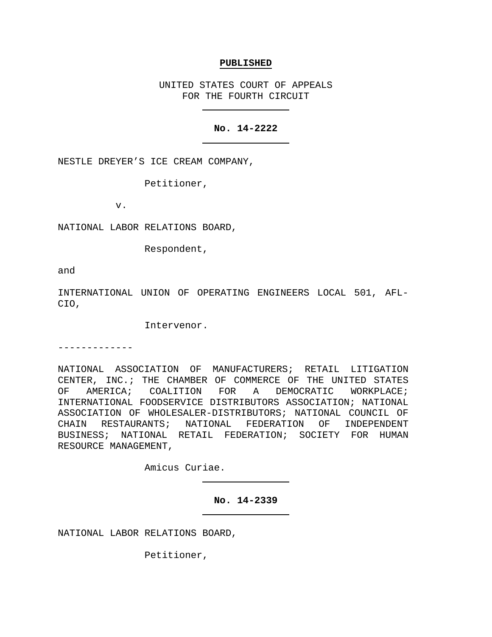#### **PUBLISHED**

UNITED STATES COURT OF APPEALS FOR THE FOURTH CIRCUIT

# **No. 14-2222**

NESTLE DREYER'S ICE CREAM COMPANY,

Petitioner,

v.

NATIONAL LABOR RELATIONS BOARD,

Respondent,

and

INTERNATIONAL UNION OF OPERATING ENGINEERS LOCAL 501, AFL-CIO,

Intervenor.

-------------

NATIONAL ASSOCIATION OF MANUFACTURERS; RETAIL LITIGATION CENTER, INC.; THE CHAMBER OF COMMERCE OF THE UNITED STATES<br>OF AMERICA; COALITION FOR A DEMOCRATIC WORKPLACE; OF AMERICA; COALITION FOR A DEMOCRATIC WORKPLACE; INTERNATIONAL FOODSERVICE DISTRIBUTORS ASSOCIATION; NATIONAL ASSOCIATION OF WHOLESALER-DISTRIBUTORS; NATIONAL COUNCIL OF CHAIN RESTAURANTS; NATIONAL FEDERATION OF INDEPENDENT BUSINESS; NATIONAL RETAIL FEDERATION; SOCIETY FOR HUMAN RESOURCE MANAGEMENT,

Amicus Curiae.

**No. 14-2339**

NATIONAL LABOR RELATIONS BOARD,

Petitioner,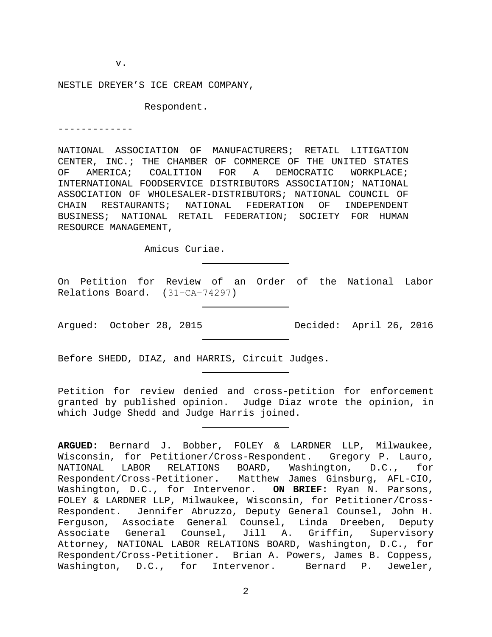v.

NESTLE DREYER'S ICE CREAM COMPANY,

Respondent.

-------------

NATIONAL ASSOCIATION OF MANUFACTURERS; RETAIL LITIGATION CENTER, INC.; THE CHAMBER OF COMMERCE OF THE UNITED STATES<br>OF AMERICA; COALITION FOR A DEMOCRATIC WORKPLACE; DEMOCRATIC INTERNATIONAL FOODSERVICE DISTRIBUTORS ASSOCIATION; NATIONAL ASSOCIATION OF WHOLESALER-DISTRIBUTORS; NATIONAL COUNCIL OF CHAIN RESTAURANTS; NATIONAL FEDERATION OF INDEPENDENT BUSINESS; NATIONAL RETAIL FEDERATION; SOCIETY FOR HUMAN RESOURCE MANAGEMENT,

Amicus Curiae.

On Petition for Review of an Order of the National Labor Relations Board. (31−CA−74297)

Argued: October 28, 2015 Decided: April 26, 2016

Before SHEDD, DIAZ, and HARRIS, Circuit Judges.

Petition for review denied and cross-petition for enforcement granted by published opinion. Judge Diaz wrote the opinion, in which Judge Shedd and Judge Harris joined.

**ARGUED:** Bernard J. Bobber, FOLEY & LARDNER LLP, Milwaukee, Wisconsin, for Petitioner/Cross-Respondent. Gregory P. Lauro, NATIONAL LABOR RELATIONS BOARD, Washington, D.C., for Respondent/Cross-Petitioner. Matthew James Ginsburg, AFL-CIO, Washington, D.C., for Intervenor. **ON BRIEF:** Ryan N. Parsons, FOLEY & LARDNER LLP, Milwaukee, Wisconsin, for Petitioner/Cross-Respondent. Jennifer Abruzzo, Deputy General Counsel, John H. Ferguson, Associate General Counsel, Linda Dreeben, Deputy Associate General Counsel, Jill A. Griffin, Supervisory Attorney, NATIONAL LABOR RELATIONS BOARD, Washington, D.C., for Respondent/Cross-Petitioner. Brian A. Powers, James B. Coppess, Washington, D.C., for Intervenor. Bernard P. Jeweler,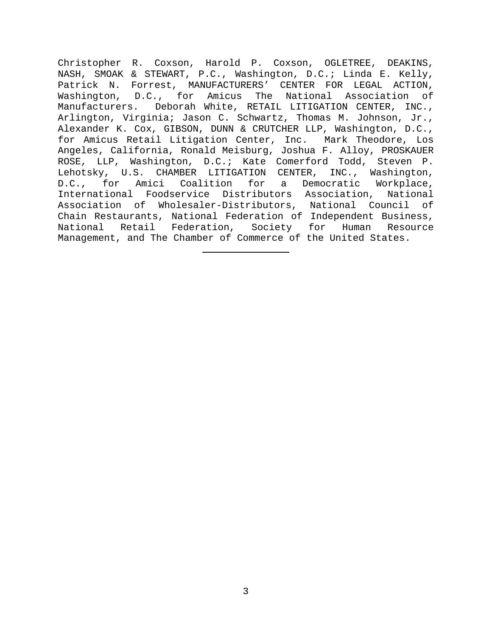Christopher R. Coxson, Harold P. Coxson, OGLETREE, DEAKINS, NASH, SMOAK & STEWART, P.C., Washington, D.C.; Linda E. Kelly, Patrick N. Forrest, MANUFACTURERS' CENTER FOR LEGAL ACTION, Washington, D.C., for Amicus The National Association of Manufacturers. Deborah White, RETAIL LITIGATION CENTER, INC., Arlington, Virginia; Jason C. Schwartz, Thomas M. Johnson, Jr., Alexander K. Cox, GIBSON, DUNN & CRUTCHER LLP, Washington, D.C., for Amicus Retail Litigation Center, Inc. Mark Theodore, Los Angeles, California, Ronald Meisburg, Joshua F. Alloy, PROSKAUER ROSE, LLP, Washington, D.C.; Kate Comerford Todd, Steven P. Lehotsky, U.S. CHAMBER LITIGATION CENTER, INC., Washington, D.C., for Amici Coalition for a Democratic Workplace, International Foodservice Distributors Association, National Association of Wholesaler-Distributors, National Council of Chain Restaurants, National Federation of Independent Business, National Retail Federation, Society for Human Resource Management, and The Chamber of Commerce of the United States.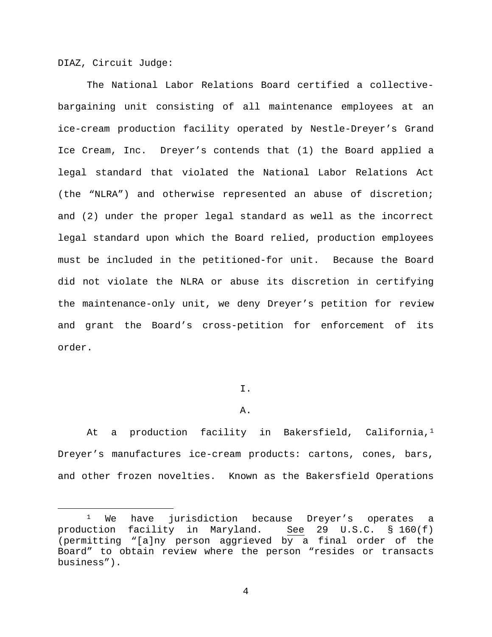DIAZ, Circuit Judge:

The National Labor Relations Board certified a collectivebargaining unit consisting of all maintenance employees at an ice-cream production facility operated by Nestle-Dreyer's Grand Ice Cream, Inc. Dreyer's contends that (1) the Board applied a legal standard that violated the National Labor Relations Act (the "NLRA") and otherwise represented an abuse of discretion; and (2) under the proper legal standard as well as the incorrect legal standard upon which the Board relied, production employees must be included in the petitioned-for unit. Because the Board did not violate the NLRA or abuse its discretion in certifying the maintenance-only unit, we deny Dreyer's petition for review and grant the Board's cross-petition for enforcement of its order.

## I.

## A.

At a production facility in Bakersfield, California,<sup>[1](#page-3-0)</sup> Dreyer's manufactures ice-cream products: cartons, cones, bars, and other frozen novelties. Known as the Bakersfield Operations

<span id="page-3-0"></span><sup>&</sup>lt;sup>1</sup> We have jurisdiction because Dreyer's operates a<br>Iction facility in Maryland. See 29 U.S.C. § 160(f) production facility in Maryland. (permitting "[a]ny person aggrieved by a final order of the Board" to obtain review where the person "resides or transacts business").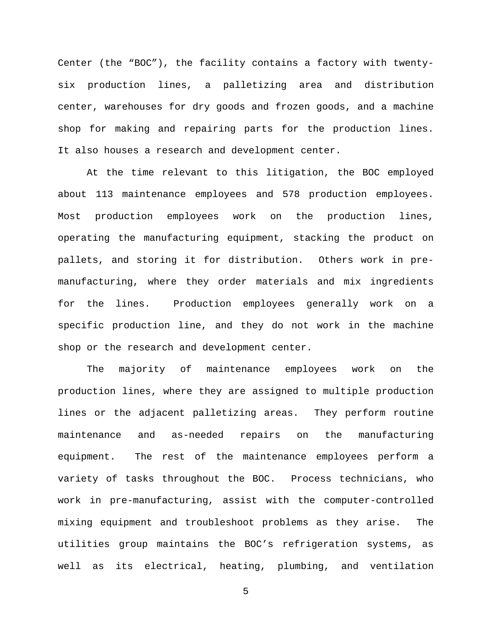Center (the "BOC"), the facility contains a factory with twentysix production lines, a palletizing area and distribution center, warehouses for dry goods and frozen goods, and a machine shop for making and repairing parts for the production lines. It also houses a research and development center.

At the time relevant to this litigation, the BOC employed about 113 maintenance employees and 578 production employees. Most production employees work on the production lines, operating the manufacturing equipment, stacking the product on pallets, and storing it for distribution. Others work in premanufacturing, where they order materials and mix ingredients for the lines. Production employees generally work on a specific production line, and they do not work in the machine shop or the research and development center.

The majority of maintenance employees work on the production lines, where they are assigned to multiple production lines or the adjacent palletizing areas. They perform routine maintenance and as-needed repairs on the manufacturing equipment. The rest of the maintenance employees perform a variety of tasks throughout the BOC. Process technicians, who work in pre-manufacturing, assist with the computer-controlled mixing equipment and troubleshoot problems as they arise. The utilities group maintains the BOC's refrigeration systems, as well as its electrical, heating, plumbing, and ventilation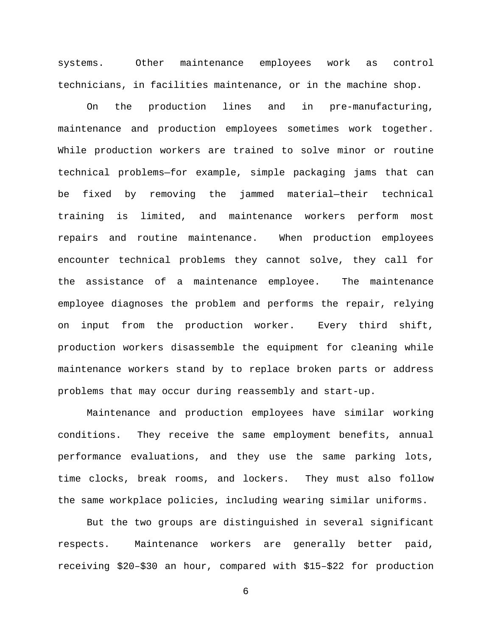systems. Other maintenance employees work as control technicians, in facilities maintenance, or in the machine shop.

On the production lines and in pre-manufacturing, maintenance and production employees sometimes work together. While production workers are trained to solve minor or routine technical problems—for example, simple packaging jams that can be fixed by removing the jammed material—their technical training is limited, and maintenance workers perform most repairs and routine maintenance. When production employees encounter technical problems they cannot solve, they call for the assistance of a maintenance employee. The maintenance employee diagnoses the problem and performs the repair, relying on input from the production worker. Every third shift, production workers disassemble the equipment for cleaning while maintenance workers stand by to replace broken parts or address problems that may occur during reassembly and start-up.

Maintenance and production employees have similar working conditions. They receive the same employment benefits, annual performance evaluations, and they use the same parking lots, time clocks, break rooms, and lockers. They must also follow the same workplace policies, including wearing similar uniforms.

But the two groups are distinguished in several significant respects. Maintenance workers are generally better paid, receiving \$20–\$30 an hour, compared with \$15–\$22 for production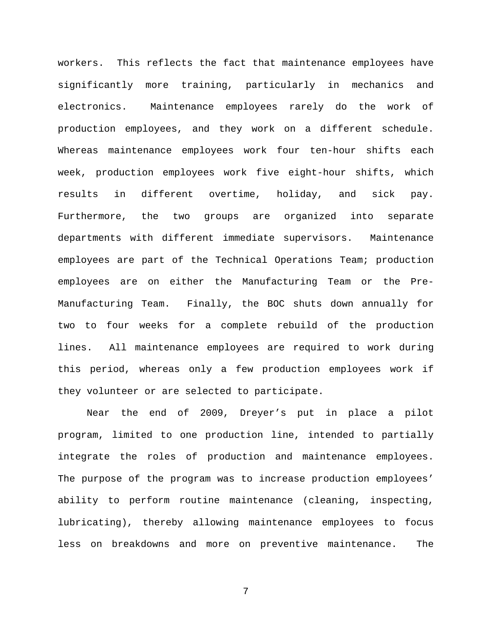workers. This reflects the fact that maintenance employees have significantly more training, particularly in mechanics and electronics. Maintenance employees rarely do the work of production employees, and they work on a different schedule. Whereas maintenance employees work four ten-hour shifts each week, production employees work five eight-hour shifts, which results in different overtime, holiday, and sick pay. Furthermore, the two groups are organized into separate departments with different immediate supervisors. Maintenance employees are part of the Technical Operations Team; production employees are on either the Manufacturing Team or the Pre-Manufacturing Team. Finally, the BOC shuts down annually for two to four weeks for a complete rebuild of the production lines. All maintenance employees are required to work during this period, whereas only a few production employees work if they volunteer or are selected to participate.

Near the end of 2009, Dreyer's put in place a pilot program, limited to one production line, intended to partially integrate the roles of production and maintenance employees. The purpose of the program was to increase production employees' ability to perform routine maintenance (cleaning, inspecting, lubricating), thereby allowing maintenance employees to focus less on breakdowns and more on preventive maintenance. The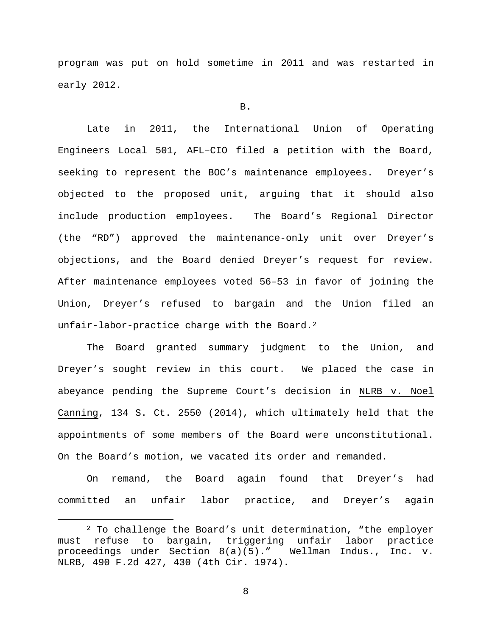program was put on hold sometime in 2011 and was restarted in early 2012.

#### B.

Late in 2011, the International Union of Operating Engineers Local 501, AFL–CIO filed a petition with the Board, seeking to represent the BOC's maintenance employees. Dreyer's objected to the proposed unit, arguing that it should also include production employees. The Board's Regional Director (the "RD") approved the maintenance-only unit over Dreyer's objections, and the Board denied Dreyer's request for review. After maintenance employees voted 56–53 in favor of joining the Union, Dreyer's refused to bargain and the Union filed an unfair-labor-practice charge with the Board.<sup>[2](#page-7-0)</sup>

The Board granted summary judgment to the Union, and Dreyer's sought review in this court. We placed the case in abeyance pending the Supreme Court's decision in NLRB v. Noel Canning, 134 S. Ct. 2550 (2014), which ultimately held that the appointments of some members of the Board were unconstitutional. On the Board's motion, we vacated its order and remanded.

On remand, the Board again found that Dreyer's had committed an unfair labor practice, and Dreyer's again

<span id="page-7-0"></span><sup>&</sup>lt;sup>2</sup> To challenge the Board's unit determination, "the employer must refuse to bargain, triggering unfair labor practice<br>proceedings under Section 8(a)(5)." Wellman Indus., Inc. v. proceedings under Section  $8(a)(5)$ ." NLRB, 490 F.2d 427, 430 (4th Cir. 1974).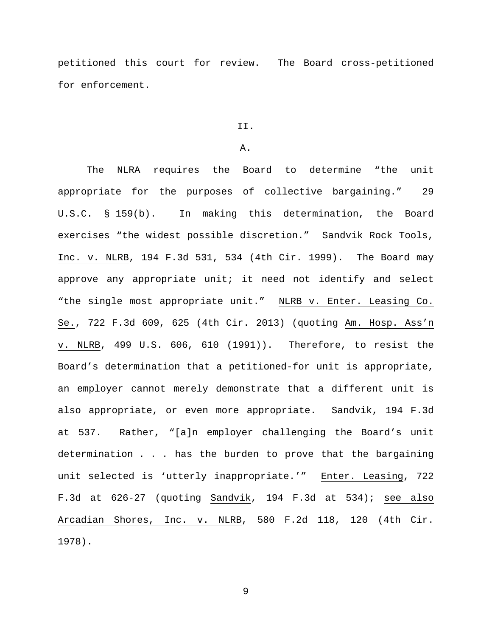petitioned this court for review. The Board cross-petitioned for enforcement.

#### II.

### A.

The NLRA requires the Board to determine "the unit appropriate for the purposes of collective bargaining." 29 U.S.C. § 159(b). In making this determination, the Board exercises "the widest possible discretion." Sandvik Rock Tools, Inc. v. NLRB, 194 F.3d 531, 534 (4th Cir. 1999). The Board may approve any appropriate unit; it need not identify and select "the single most appropriate unit." NLRB v. Enter. Leasing Co. Se., 722 F.3d 609, 625 (4th Cir. 2013) (quoting Am. Hosp. Ass'n v. NLRB, 499 U.S. 606, 610 (1991)). Therefore, to resist the Board's determination that a petitioned-for unit is appropriate, an employer cannot merely demonstrate that a different unit is also appropriate, or even more appropriate. Sandvik, 194 F.3d at 537. Rather, "[a]n employer challenging the Board's unit determination . . . has the burden to prove that the bargaining unit selected is 'utterly inappropriate.'" Enter. Leasing, 722 F.3d at 626-27 (quoting Sandvik, 194 F.3d at 534); see also Arcadian Shores, Inc. v. NLRB, 580 F.2d 118, 120 (4th Cir. 1978).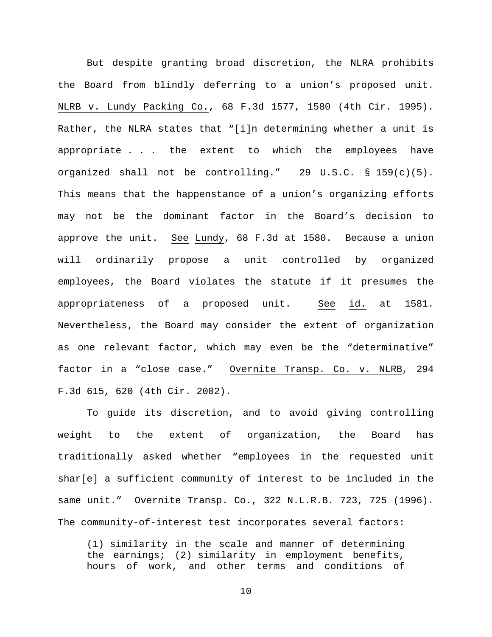But despite granting broad discretion, the NLRA prohibits the Board from blindly deferring to a union's proposed unit. NLRB v. Lundy Packing Co., 68 F.3d 1577, 1580 (4th Cir. 1995). Rather, the NLRA states that "[i]n determining whether a unit is appropriate . . . the extent to which the employees have organized shall not be controlling." 29 U.S.C. § 159(c)(5). This means that the happenstance of a union's organizing efforts may not be the dominant factor in the Board's decision to approve the unit. See Lundy, 68 F.3d at 1580. Because a union will ordinarily propose a unit controlled by organized employees, the Board violates the statute if it presumes the appropriateness of a proposed unit. See id. at 1581. Nevertheless, the Board may consider the extent of organization as one relevant factor, which may even be the "determinative" factor in a "close case." Overnite Transp. Co. v. NLRB, 294 F.3d 615, 620 (4th Cir. 2002).

To guide its discretion, and to avoid giving controlling weight to the extent of organization, the Board has traditionally asked whether "employees in the requested unit shar[e] a sufficient community of interest to be included in the same unit." Overnite Transp. Co., 322 N.L.R.B. 723, 725 (1996). The community-of-interest test incorporates several factors:

(1) similarity in the scale and manner of determining the earnings; (2) similarity in employment benefits, hours of work, and other terms and conditions of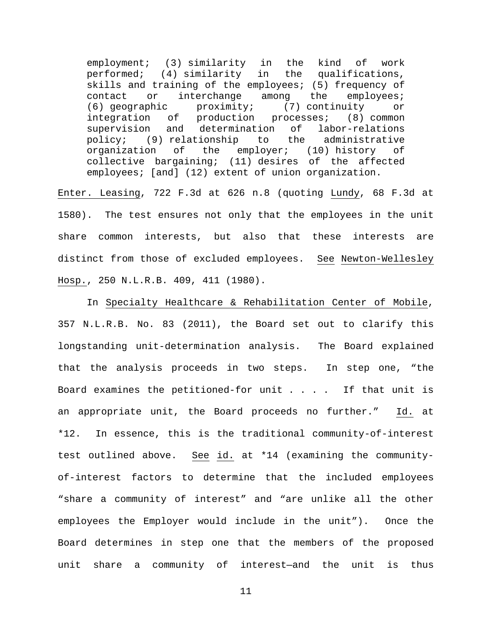employment; (3) similarity in the kind of work<br>performed; (4) similarity in the qualifications, performed; (4) similarity in skills and training of the employees; (5) frequency of<br>contact or interchange among the employees; contact or interchange among the empl<br>(6) geographic proximity; (7) continuity (6) geographic  $\frac{1}{2}$  proximity; (7) continuity or integration of production processes; (8) common of production processes; (8) common supervision and determination of labor-relations policy; (9) relationship to the administrative<br>organization of the employer; (10) history of (10) history of collective bargaining; (11) desires of the affected employees; [and] (12) extent of union organization.

Enter. Leasing, 722 F.3d at 626 n.8 (quoting Lundy, 68 F.3d at 1580). The test ensures not only that the employees in the unit share common interests, but also that these interests are distinct from those of excluded employees. See Newton-Wellesley Hosp., 250 N.L.R.B. 409, 411 (1980).

In Specialty Healthcare & Rehabilitation Center of Mobile, 357 N.L.R.B. No. 83 (2011), the Board set out to clarify this longstanding unit-determination analysis. The Board explained that the analysis proceeds in two steps. In step one, "the Board examines the petitioned-for unit . . . . If that unit is an appropriate unit, the Board proceeds no further." Id. at \*12. In essence, this is the traditional community-of-interest test outlined above. See id. at \*14 (examining the communityof-interest factors to determine that the included employees "share a community of interest" and "are unlike all the other employees the Employer would include in the unit"). Once the Board determines in step one that the members of the proposed unit share a community of interest—and the unit is thus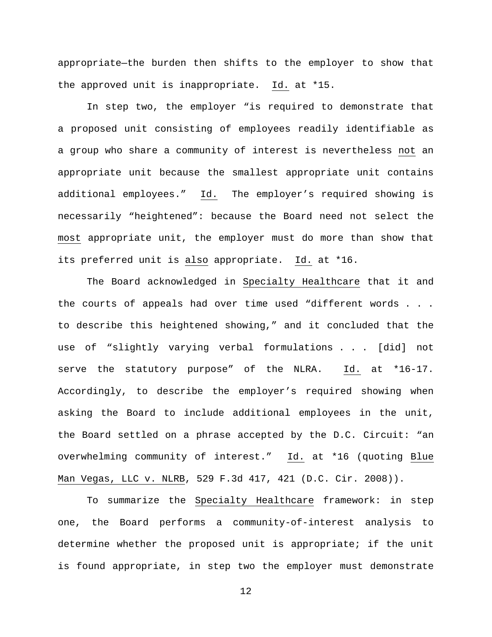appropriate—the burden then shifts to the employer to show that the approved unit is inappropriate. Id. at \*15.

In step two, the employer "is required to demonstrate that a proposed unit consisting of employees readily identifiable as a group who share a community of interest is nevertheless not an appropriate unit because the smallest appropriate unit contains additional employees." Id. The employer's required showing is necessarily "heightened": because the Board need not select the most appropriate unit, the employer must do more than show that its preferred unit is also appropriate. Id. at \*16.

The Board acknowledged in Specialty Healthcare that it and the courts of appeals had over time used "different words . . . to describe this heightened showing," and it concluded that the use of "slightly varying verbal formulations . . . [did] not serve the statutory purpose" of the NLRA. Id. at \*16-17. Accordingly, to describe the employer's required showing when asking the Board to include additional employees in the unit, the Board settled on a phrase accepted by the D.C. Circuit: "an overwhelming community of interest." Id. at \*16 (quoting Blue Man Vegas, LLC v. NLRB, 529 F.3d 417, 421 (D.C. Cir. 2008)).

To summarize the Specialty Healthcare framework: in step one, the Board performs a community-of-interest analysis to determine whether the proposed unit is appropriate; if the unit is found appropriate, in step two the employer must demonstrate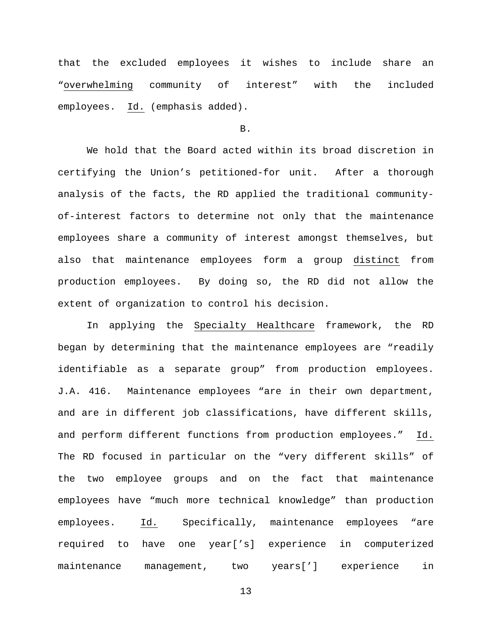that the excluded employees it wishes to include share an "overwhelming community of interest" with the included employees. Id. (emphasis added).

#### B.

We hold that the Board acted within its broad discretion in certifying the Union's petitioned-for unit. After a thorough analysis of the facts, the RD applied the traditional communityof-interest factors to determine not only that the maintenance employees share a community of interest amongst themselves, but also that maintenance employees form a group distinct from production employees. By doing so, the RD did not allow the extent of organization to control his decision.

In applying the Specialty Healthcare framework, the RD began by determining that the maintenance employees are "readily identifiable as a separate group" from production employees. J.A. 416. Maintenance employees "are in their own department, and are in different job classifications, have different skills, and perform different functions from production employees." Id. The RD focused in particular on the "very different skills" of the two employee groups and on the fact that maintenance employees have "much more technical knowledge" than production employees. Id. Specifically, maintenance employees "are required to have one year['s] experience in computerized maintenance management, two years['] experience in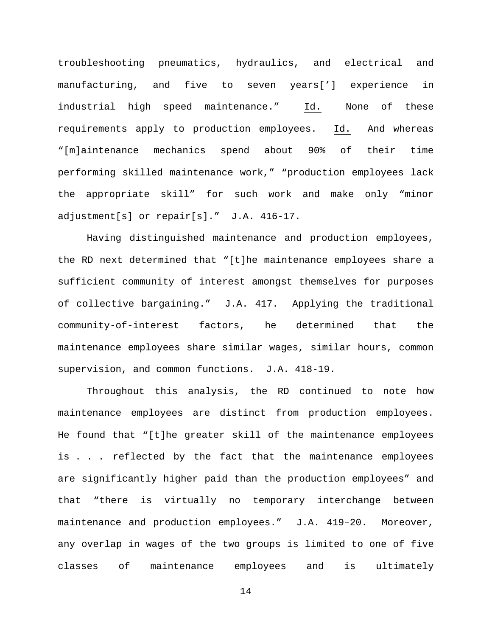troubleshooting pneumatics, hydraulics, and electrical and manufacturing, and five to seven years['] experience in industrial high speed maintenance." Id. None of these requirements apply to production employees. Id. And whereas "[m]aintenance mechanics spend about 90% of their time performing skilled maintenance work," "production employees lack the appropriate skill" for such work and make only "minor adjustment[s] or repair[s]." J.A. 416-17.

Having distinguished maintenance and production employees, the RD next determined that "[t]he maintenance employees share a sufficient community of interest amongst themselves for purposes of collective bargaining." J.A. 417. Applying the traditional community-of-interest factors, he determined that the maintenance employees share similar wages, similar hours, common supervision, and common functions. J.A. 418-19.

Throughout this analysis, the RD continued to note how maintenance employees are distinct from production employees. He found that "[t]he greater skill of the maintenance employees is . . . reflected by the fact that the maintenance employees are significantly higher paid than the production employees" and that "there is virtually no temporary interchange between maintenance and production employees." J.A. 419–20. Moreover, any overlap in wages of the two groups is limited to one of five classes of maintenance employees and is ultimately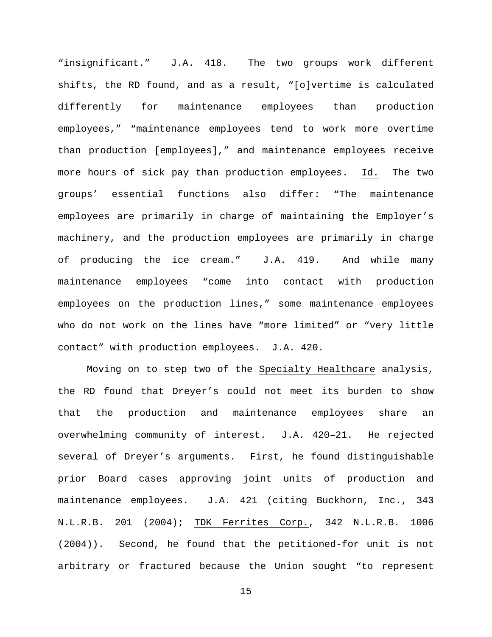"insignificant." J.A. 418. The two groups work different shifts, the RD found, and as a result, "[o]vertime is calculated differently for maintenance employees than production employees," "maintenance employees tend to work more overtime than production [employees]," and maintenance employees receive more hours of sick pay than production employees. Id. The two groups' essential functions also differ: "The maintenance employees are primarily in charge of maintaining the Employer's machinery, and the production employees are primarily in charge of producing the ice cream." J.A. 419. And while many maintenance employees "come into contact with production employees on the production lines," some maintenance employees who do not work on the lines have "more limited" or "very little contact" with production employees. J.A. 420.

Moving on to step two of the Specialty Healthcare analysis, the RD found that Dreyer's could not meet its burden to show that the production and maintenance employees share an overwhelming community of interest. J.A. 420–21. He rejected several of Dreyer's arguments. First, he found distinguishable prior Board cases approving joint units of production and maintenance employees. J.A. 421 (citing Buckhorn, Inc., 343 N.L.R.B. 201 (2004); TDK Ferrites Corp., 342 N.L.R.B. 1006 (2004)). Second, he found that the petitioned-for unit is not arbitrary or fractured because the Union sought "to represent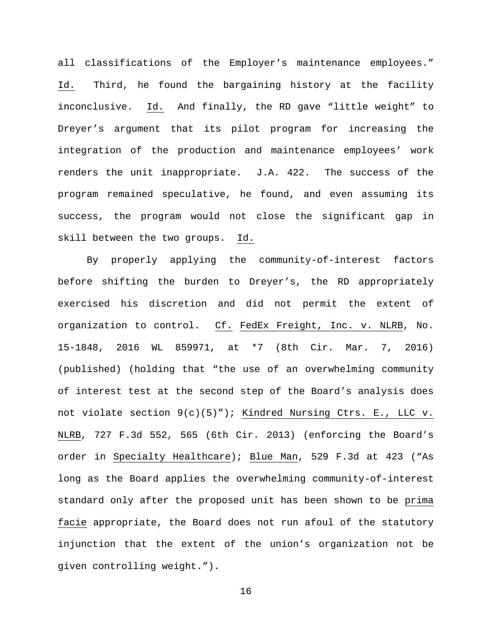all classifications of the Employer's maintenance employees." Id. Third, he found the bargaining history at the facility inconclusive. Id. And finally, the RD gave "little weight" to Dreyer's argument that its pilot program for increasing the integration of the production and maintenance employees' work renders the unit inappropriate. J.A. 422. The success of the program remained speculative, he found, and even assuming its success, the program would not close the significant gap in skill between the two groups. Id.

By properly applying the community-of-interest factors before shifting the burden to Dreyer's, the RD appropriately exercised his discretion and did not permit the extent of organization to control. Cf. FedEx Freight, Inc. v. NLRB, No. 15-1848, 2016 WL 859971, at \*7 (8th Cir. Mar. 7, 2016) (published) (holding that "the use of an overwhelming community of interest test at the second step of the Board's analysis does not violate section 9(c)(5)"); Kindred Nursing Ctrs. E., LLC v. NLRB, 727 F.3d 552, 565 (6th Cir. 2013) (enforcing the Board's order in Specialty Healthcare); Blue Man, 529 F.3d at 423 ("As long as the Board applies the overwhelming community-of-interest standard only after the proposed unit has been shown to be prima facie appropriate, the Board does not run afoul of the statutory injunction that the extent of the union's organization not be given controlling weight.").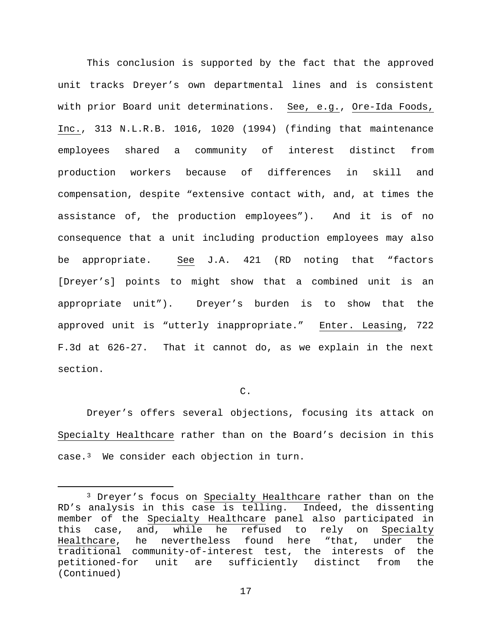This conclusion is supported by the fact that the approved unit tracks Dreyer's own departmental lines and is consistent with prior Board unit determinations. See, e.g., Ore-Ida Foods, Inc., 313 N.L.R.B. 1016, 1020 (1994) (finding that maintenance employees shared a community of interest distinct from production workers because of differences in skill and compensation, despite "extensive contact with, and, at times the assistance of, the production employees"). And it is of no consequence that a unit including production employees may also be appropriate. See J.A. 421 (RD noting that "factors [Dreyer's] points to might show that a combined unit is an appropriate unit"). Dreyer's burden is to show that the approved unit is "utterly inappropriate." Enter. Leasing, 722 F.3d at 626-27. That it cannot do, as we explain in the next section.

 $\mathcal{C}$ .

Dreyer's offers several objections, focusing its attack on Specialty Healthcare rather than on the Board's decision in this case.[3](#page-16-0) We consider each objection in turn.

<span id="page-16-0"></span> <sup>3</sup> Dreyer's focus on Specialty Healthcare rather than on the RD's analysis in this case is telling. Indeed, the dissenting member of the Specialty Healthcare panel also participated in<br>this case, and, while he refused to rely on Specialty and, while he refused to rely on Healthcare, he nevertheless found here "that, under the traditional community-of-interest test, the interests of the petitioned-for unit are sufficiently distinct from the (Continued)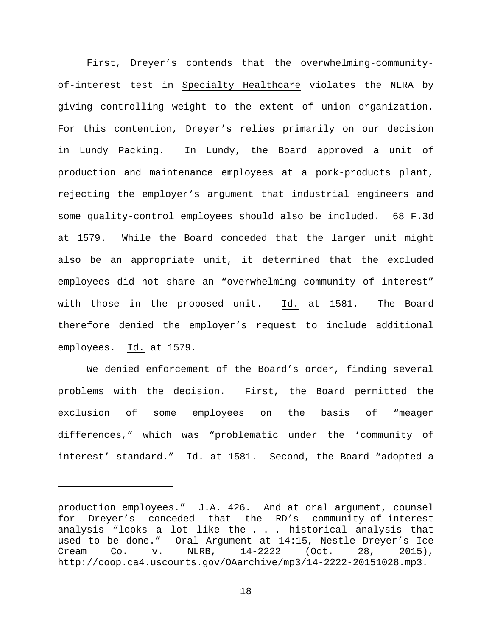First, Dreyer's contends that the overwhelming-communityof-interest test in Specialty Healthcare violates the NLRA by giving controlling weight to the extent of union organization. For this contention, Dreyer's relies primarily on our decision in Lundy Packing. In Lundy, the Board approved a unit of production and maintenance employees at a pork-products plant, rejecting the employer's argument that industrial engineers and some quality-control employees should also be included. 68 F.3d at 1579. While the Board conceded that the larger unit might also be an appropriate unit, it determined that the excluded employees did not share an "overwhelming community of interest" with those in the proposed unit. Id. at 1581. The Board therefore denied the employer's request to include additional employees. Id. at 1579.

We denied enforcement of the Board's order, finding several problems with the decision. First, the Board permitted the exclusion of some employees on the basis of "meager differences," which was "problematic under the 'community of interest' standard." Id. at 1581. Second, the Board "adopted a

ī

production employees." J.A. 426. And at oral argument, counsel for Dreyer's conceded that the RD's community-of-interest analysis "looks a lot like the . . . historical analysis that used to be done." Oral Argument at 14:15, Nestle Dreyer's Ice<br>Cream Co. v. NLRB, 14-2222 (Oct. 28, 2015), Cream Co. v. NLRB, 14-2222 (Oct. 28, 2015), http://coop.ca4.uscourts.gov/OAarchive/mp3/14-2222-20151028.mp3.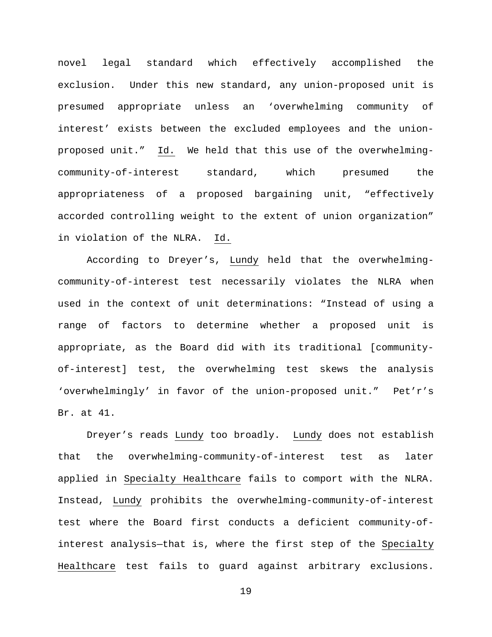novel legal standard which effectively accomplished the exclusion. Under this new standard, any union-proposed unit is presumed appropriate unless an 'overwhelming community of interest' exists between the excluded employees and the unionproposed unit." Id. We held that this use of the overwhelmingcommunity-of-interest standard, which presumed the appropriateness of a proposed bargaining unit, "effectively accorded controlling weight to the extent of union organization" in violation of the NLRA. Id.

According to Dreyer's, Lundy held that the overwhelmingcommunity-of-interest test necessarily violates the NLRA when used in the context of unit determinations: "Instead of using a range of factors to determine whether a proposed unit is appropriate, as the Board did with its traditional [communityof-interest] test, the overwhelming test skews the analysis 'overwhelmingly' in favor of the union-proposed unit." Pet'r's Br. at 41.

Dreyer's reads Lundy too broadly. Lundy does not establish that the overwhelming-community-of-interest test as later applied in Specialty Healthcare fails to comport with the NLRA. Instead, Lundy prohibits the overwhelming-community-of-interest test where the Board first conducts a deficient community-ofinterest analysis—that is, where the first step of the Specialty Healthcare test fails to guard against arbitrary exclusions.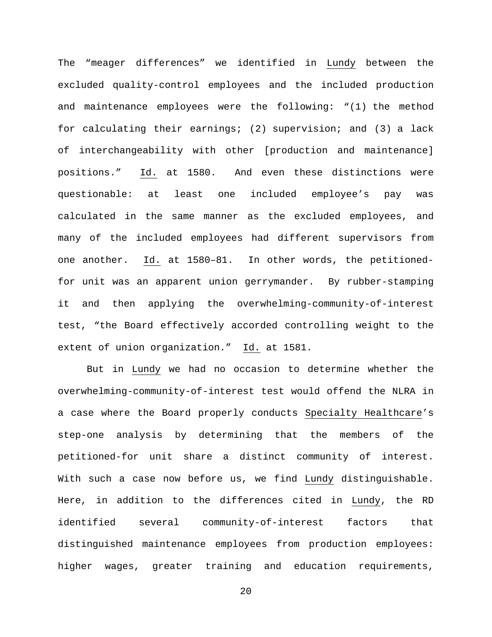The "meager differences" we identified in Lundy between the excluded quality-control employees and the included production and maintenance employees were the following: "(1) the method for calculating their earnings; (2) supervision; and (3) a lack of interchangeability with other [production and maintenance] positions." Id. at 1580. And even these distinctions were questionable: at least one included employee's pay was calculated in the same manner as the excluded employees, and many of the included employees had different supervisors from one another. Id. at 1580–81. In other words, the petitionedfor unit was an apparent union gerrymander. By rubber-stamping it and then applying the overwhelming-community-of-interest test, "the Board effectively accorded controlling weight to the extent of union organization." Id. at 1581.

But in Lundy we had no occasion to determine whether the overwhelming-community-of-interest test would offend the NLRA in a case where the Board properly conducts Specialty Healthcare's step-one analysis by determining that the members of the petitioned-for unit share a distinct community of interest. With such a case now before us, we find Lundy distinguishable. Here, in addition to the differences cited in Lundy, the RD identified several community-of-interest factors that distinguished maintenance employees from production employees: higher wages, greater training and education requirements,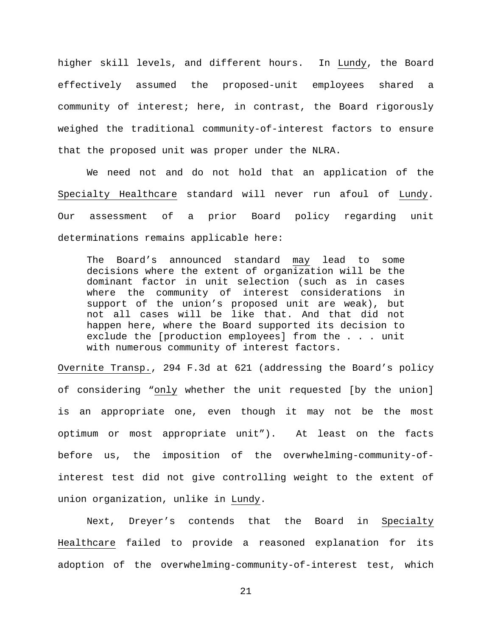higher skill levels, and different hours. In Lundy, the Board effectively assumed the proposed-unit employees shared a community of interest; here, in contrast, the Board rigorously weighed the traditional community-of-interest factors to ensure that the proposed unit was proper under the NLRA.

We need not and do not hold that an application of the Specialty Healthcare standard will never run afoul of Lundy. Our assessment of a prior Board policy regarding unit determinations remains applicable here:

The Board's announced standard may lead to some decisions where the extent of organization will be the dominant factor in unit selection (such as in cases where the community of interest considerations in support of the union's proposed unit are weak), but not all cases will be like that. And that did not happen here, where the Board supported its decision to exclude the [production employees] from the . . . unit with numerous community of interest factors.

Overnite Transp., 294 F.3d at 621 (addressing the Board's policy of considering "only whether the unit requested [by the union] is an appropriate one, even though it may not be the most optimum or most appropriate unit"). At least on the facts before us, the imposition of the overwhelming-community-ofinterest test did not give controlling weight to the extent of union organization, unlike in Lundy.

Next, Dreyer's contends that the Board in Specialty Healthcare failed to provide a reasoned explanation for its adoption of the overwhelming-community-of-interest test, which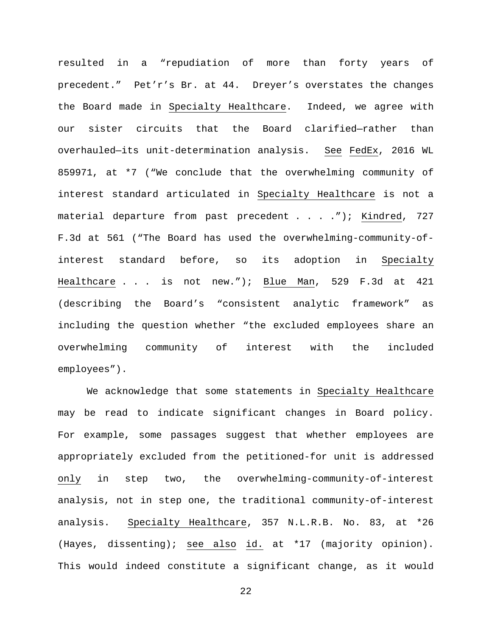resulted in a "repudiation of more than forty years of precedent." Pet'r's Br. at 44. Dreyer's overstates the changes the Board made in Specialty Healthcare. Indeed, we agree with our sister circuits that the Board clarified—rather than overhauled—its unit-determination analysis. See FedEx, 2016 WL 859971, at \*7 ("We conclude that the overwhelming community of interest standard articulated in Specialty Healthcare is not a material departure from past precedent . . . . "); Kindred, 727 F.3d at 561 ("The Board has used the overwhelming-community-ofinterest standard before, so its adoption in Specialty Healthcare . . . is not new."); Blue Man, 529 F.3d at 421 (describing the Board's "consistent analytic framework" as including the question whether "the excluded employees share an overwhelming community of interest with the included employees").

We acknowledge that some statements in Specialty Healthcare may be read to indicate significant changes in Board policy. For example, some passages suggest that whether employees are appropriately excluded from the petitioned-for unit is addressed only in step two, the overwhelming-community-of-interest analysis, not in step one, the traditional community-of-interest analysis. Specialty Healthcare, 357 N.L.R.B. No. 83, at \*26 (Hayes, dissenting); see also id. at \*17 (majority opinion). This would indeed constitute a significant change, as it would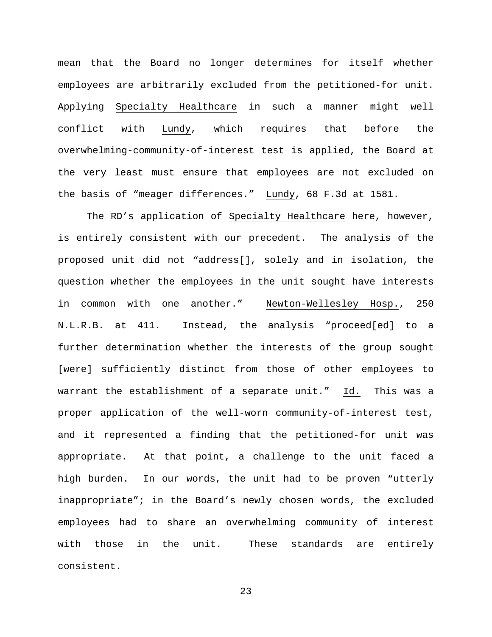mean that the Board no longer determines for itself whether employees are arbitrarily excluded from the petitioned-for unit. Applying Specialty Healthcare in such a manner might well conflict with Lundy, which requires that before the overwhelming-community-of-interest test is applied, the Board at the very least must ensure that employees are not excluded on the basis of "meager differences." Lundy, 68 F.3d at 1581.

The RD's application of Specialty Healthcare here, however, is entirely consistent with our precedent. The analysis of the proposed unit did not "address[], solely and in isolation, the question whether the employees in the unit sought have interests in common with one another." Newton-Wellesley Hosp., 250 N.L.R.B. at 411. Instead, the analysis "proceed[ed] to a further determination whether the interests of the group sought [were] sufficiently distinct from those of other employees to warrant the establishment of a separate unit." Id. This was a proper application of the well-worn community-of-interest test, and it represented a finding that the petitioned-for unit was appropriate. At that point, a challenge to the unit faced a high burden. In our words, the unit had to be proven "utterly inappropriate"; in the Board's newly chosen words, the excluded employees had to share an overwhelming community of interest with those in the unit. These standards are entirely consistent.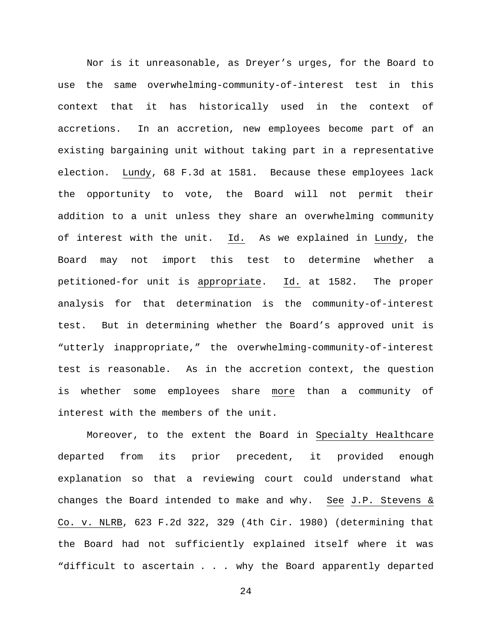Nor is it unreasonable, as Dreyer's urges, for the Board to use the same overwhelming-community-of-interest test in this context that it has historically used in the context of accretions. In an accretion, new employees become part of an existing bargaining unit without taking part in a representative election. Lundy, 68 F.3d at 1581. Because these employees lack the opportunity to vote, the Board will not permit their addition to a unit unless they share an overwhelming community of interest with the unit. Id. As we explained in Lundy, the Board may not import this test to determine whether a petitioned-for unit is appropriate. Id. at 1582. The proper analysis for that determination is the community-of-interest test. But in determining whether the Board's approved unit is "utterly inappropriate," the overwhelming-community-of-interest test is reasonable. As in the accretion context, the question is whether some employees share more than a community of interest with the members of the unit.

Moreover, to the extent the Board in Specialty Healthcare departed from its prior precedent, it provided enough explanation so that a reviewing court could understand what changes the Board intended to make and why. See J.P. Stevens & Co. v. NLRB, 623 F.2d 322, 329 (4th Cir. 1980) (determining that the Board had not sufficiently explained itself where it was "difficult to ascertain . . . why the Board apparently departed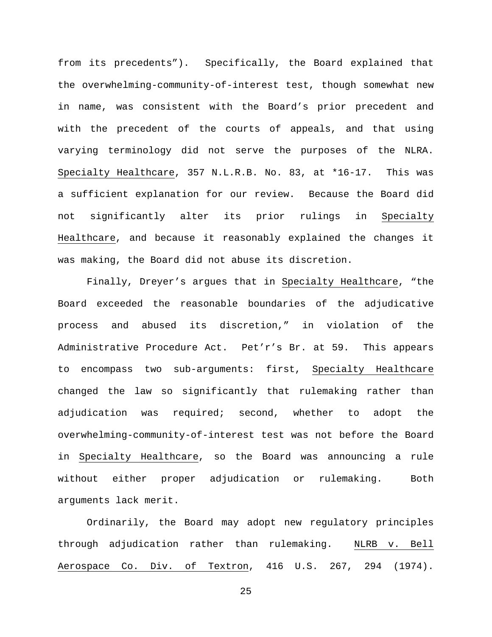from its precedents"). Specifically, the Board explained that the overwhelming-community-of-interest test, though somewhat new in name, was consistent with the Board's prior precedent and with the precedent of the courts of appeals, and that using varying terminology did not serve the purposes of the NLRA. Specialty Healthcare, 357 N.L.R.B. No. 83, at \*16-17. This was a sufficient explanation for our review. Because the Board did not significantly alter its prior rulings in Specialty Healthcare, and because it reasonably explained the changes it was making, the Board did not abuse its discretion.

Finally, Dreyer's argues that in Specialty Healthcare, "the Board exceeded the reasonable boundaries of the adjudicative process and abused its discretion," in violation of the Administrative Procedure Act. Pet'r's Br. at 59. This appears to encompass two sub-arguments: first, Specialty Healthcare changed the law so significantly that rulemaking rather than adjudication was required; second, whether to adopt the overwhelming-community-of-interest test was not before the Board in Specialty Healthcare, so the Board was announcing a rule without either proper adjudication or rulemaking. Both arguments lack merit.

Ordinarily, the Board may adopt new regulatory principles through adjudication rather than rulemaking. NLRB v. Bell Aerospace Co. Div. of Textron, 416 U.S. 267, 294 (1974).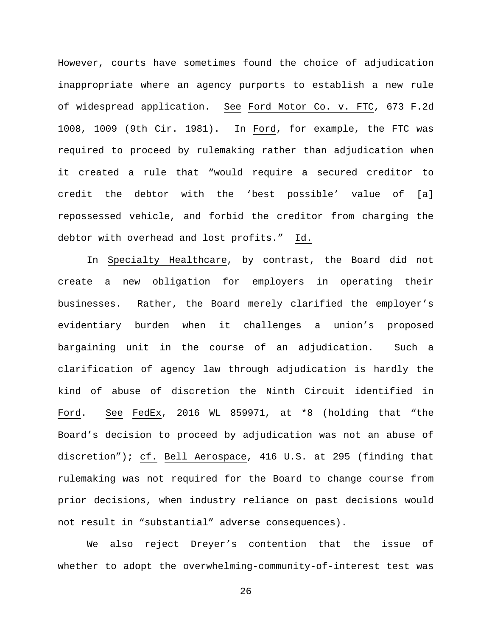However, courts have sometimes found the choice of adjudication inappropriate where an agency purports to establish a new rule of widespread application. See Ford Motor Co. v. FTC, 673 F.2d 1008, 1009 (9th Cir. 1981). In Ford, for example, the FTC was required to proceed by rulemaking rather than adjudication when it created a rule that "would require a secured creditor to credit the debtor with the 'best possible' value of [a] repossessed vehicle, and forbid the creditor from charging the debtor with overhead and lost profits." Id.

In Specialty Healthcare, by contrast, the Board did not create a new obligation for employers in operating their businesses. Rather, the Board merely clarified the employer's evidentiary burden when it challenges a union's proposed bargaining unit in the course of an adjudication. Such a clarification of agency law through adjudication is hardly the kind of abuse of discretion the Ninth Circuit identified in Ford. See FedEx, 2016 WL 859971, at \*8 (holding that "the Board's decision to proceed by adjudication was not an abuse of discretion"); cf. Bell Aerospace, 416 U.S. at 295 (finding that rulemaking was not required for the Board to change course from prior decisions, when industry reliance on past decisions would not result in "substantial" adverse consequences).

We also reject Dreyer's contention that the issue of whether to adopt the overwhelming-community-of-interest test was